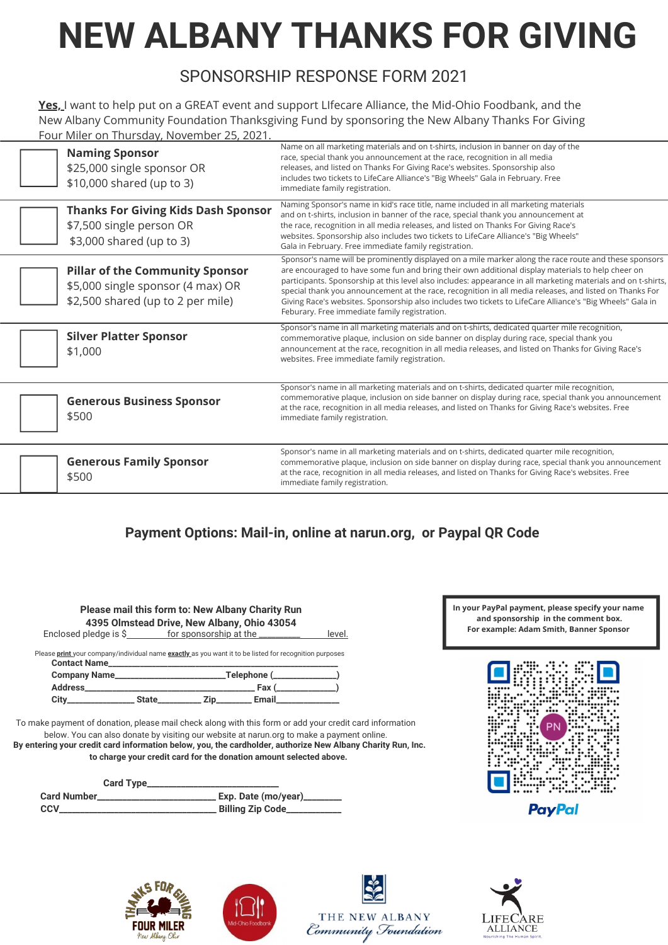# **NEW ALBANY THANKS FOR GIVING**

## SPONSORSHIP RESPONSE FORM 2021

**Yes,** I want to help put on a GREAT event and support LIfecare Alliance, the Mid-Ohio Foodbank, and the New Albany Community Foundation Thanksgiving Fund by sponsoring the New Albany Thanks For Giving Four Miler on Thursday, November 25, 2021.

| <b>Naming Sponsor</b><br>\$25,000 single sponsor OR<br>\$10,000 shared (up to 3)                                 | Name on all marketing materials and on t-shirts, inclusion in banner on day of the<br>race, special thank you announcement at the race, recognition in all media<br>releases, and listed on Thanks For Giving Race's websites. Sponsorship also<br>includes two tickets to LifeCare Alliance's "Big Wheels" Gala in February. Free<br>immediate family registration.                                                                                                                                                                                                                                 |
|------------------------------------------------------------------------------------------------------------------|------------------------------------------------------------------------------------------------------------------------------------------------------------------------------------------------------------------------------------------------------------------------------------------------------------------------------------------------------------------------------------------------------------------------------------------------------------------------------------------------------------------------------------------------------------------------------------------------------|
| <b>Thanks For Giving Kids Dash Sponsor</b><br>\$7,500 single person OR<br>\$3,000 shared (up to 3)               | Naming Sponsor's name in kid's race title, name included in all marketing materials<br>and on t-shirts, inclusion in banner of the race, special thank you announcement at<br>the race, recognition in all media releases, and listed on Thanks For Giving Race's<br>websites. Sponsorship also includes two tickets to LifeCare Alliance's "Big Wheels"<br>Gala in February. Free immediate family registration.                                                                                                                                                                                    |
| <b>Pillar of the Community Sponsor</b><br>\$5,000 single sponsor (4 max) OR<br>\$2,500 shared (up to 2 per mile) | Sponsor's name will be prominently displayed on a mile marker along the race route and these sponsors<br>are encouraged to have some fun and bring their own additional display materials to help cheer on<br>participants. Sponsorship at this level also includes: appearance in all marketing materials and on t-shirts,<br>special thank you announcement at the race, recognition in all media releases, and listed on Thanks For<br>Giving Race's websites. Sponsorship also includes two tickets to LifeCare Alliance's "Big Wheels" Gala in<br>Feburary. Free immediate family registration. |
| <b>Silver Platter Sponsor</b><br>\$1,000                                                                         | Sponsor's name in all marketing materials and on t-shirts, dedicated quarter mile recognition,<br>commemorative plaque, inclusion on side banner on display during race, special thank you<br>announcement at the race, recognition in all media releases, and listed on Thanks for Giving Race's<br>websites. Free immediate family registration.                                                                                                                                                                                                                                                   |
| <b>Generous Business Sponsor</b><br>\$500                                                                        | Sponsor's name in all marketing materials and on t-shirts, dedicated quarter mile recognition,<br>commemorative plaque, inclusion on side banner on display during race, special thank you announcement<br>at the race, recognition in all media releases, and listed on Thanks for Giving Race's websites. Free<br>immediate family registration.                                                                                                                                                                                                                                                   |
| <b>Generous Family Sponsor</b><br>\$500                                                                          | Sponsor's name in all marketing materials and on t-shirts, dedicated quarter mile recognition,<br>commemorative plaque, inclusion on side banner on display during race, special thank you announcement<br>at the race, recognition in all media releases, and listed on Thanks for Giving Race's websites. Free<br>immediate family registration.                                                                                                                                                                                                                                                   |

#### **Payment Options: Mail-in, online at narun.org, or Paypal QR Code**

| 4395 Olmstead Drive, New Albany, Ohio 43054 |                                                                     | <b>Please mail this form to: New Albany Charity Run</b>                                                |        |
|---------------------------------------------|---------------------------------------------------------------------|--------------------------------------------------------------------------------------------------------|--------|
|                                             | Enclosed pledge is \$___________ for sponsorship at the ___________ |                                                                                                        | level. |
|                                             |                                                                     |                                                                                                        |        |
| Contact Name                                |                                                                     | Please print your company/individual name exactly as you want it to be listed for recognition purposes |        |
|                                             |                                                                     |                                                                                                        |        |
|                                             |                                                                     | $\mathsf{Fax}$ ( )                                                                                     |        |

To make payment of donation, please mail check along with this form or add your credit card information below. You can also donate by visiting our website at narun.org to make a payment online. **By entering your credit card information below, you, the cardholder, authorize New Albany Charity Run, Inc. to charge your credit card for the donation amount selected above.**

|              | <b>Card Type_</b> |                             |
|--------------|-------------------|-----------------------------|
| Card Number_ |                   | Exp. Date (mo/year)________ |
| CCV          |                   |                             |

**In your PayPal payment, please specify your name and sponsorship in the comment box. For example: Adam Smith, Banner Sponsor**